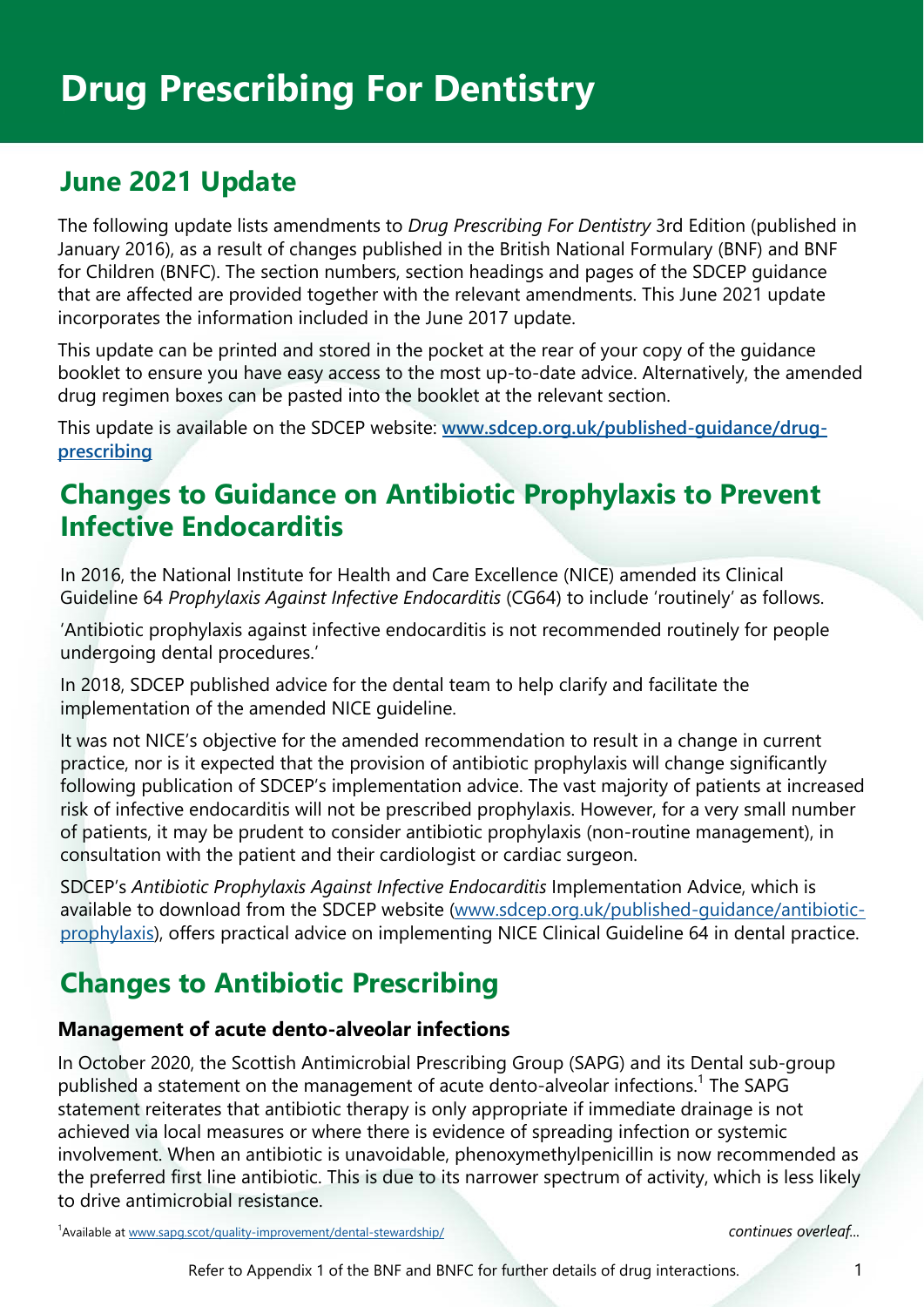# **June 2021 Update**

The following update lists amendments to *Drug Prescribing For Dentistry* 3rd Edition (published in January 2016), as a result of changes published in the British National Formulary (BNF) and BNF for Children (BNFC). The section numbers, section headings and pages of the SDCEP guidance that are affected are provided together with the relevant amendments. This June 2021 update incorporates the information included in the June 2017 update.

This update can be printed and stored in the pocket at the rear of your copy of the guidance booklet to ensure you have easy access to the most up-to-date advice. Alternatively, the amended drug regimen boxes can be pasted into the booklet at the relevant section.

This update is available on the SDCEP website: **[www.sdcep.org.uk/published-guidance/drug](https://www.sdcep.org.uk/published-guidance/drug-prescribing/)[prescribing](https://www.sdcep.org.uk/published-guidance/drug-prescribing/)**

### **Changes to Guidance on Antibiotic Prophylaxis to Prevent Infective Endocarditis**

In 2016, the National Institute for Health and Care Excellence (NICE) amended its Clinical Guideline 64 *Prophylaxis Against Infective Endocarditis* (CG64) to include 'routinely' as follows.

'Antibiotic prophylaxis against infective endocarditis is not recommended routinely for people undergoing dental procedures.'

In 2018, SDCEP published advice for the dental team to help clarify and facilitate the implementation of the amended NICE guideline.

It was not NICE's objective for the amended recommendation to result in a change in current practice, nor is it expected that the provision of antibiotic prophylaxis will change significantly following publication of SDCEP's implementation advice. The vast majority of patients at increased risk of infective endocarditis will not be prescribed prophylaxis. However, for a very small number of patients, it may be prudent to consider antibiotic prophylaxis (non-routine management), in consultation with the patient and their cardiologist or cardiac surgeon.

SDCEP's *Antibiotic Prophylaxis Against Infective Endocarditis* Implementation Advice, which is available to download from the SDCEP website (www.sdcep.org.uk/published-guidance/antibioticprophylaxis), offers practical advice on implementing NICE Clinical Guideline 64 in dental practice.

# **Changes to Antibiotic Prescribing**

### **Management of acute dento-alveolar infections**

In October 2020, the Scottish Antimicrobial Prescribing Group (SAPG) and its Dental sub-group published a statement on the management of acute dento-alveolar infections.<sup>1</sup> The SAPG statement reiterates that antibiotic therapy is only appropriate if immediate drainage is not achieved via local measures or where there is evidence of spreading infection or systemic involvement. When an antibiotic is unavoidable, phenoxymethylpenicillin is now recommended as the preferred first line antibiotic. This is due to its narrower spectrum of activity, which is less likely to drive antimicrobial resistance.

1 Available at www.sapg.scot/quality-improvement/dental-stewardship/ *continues overleaf...*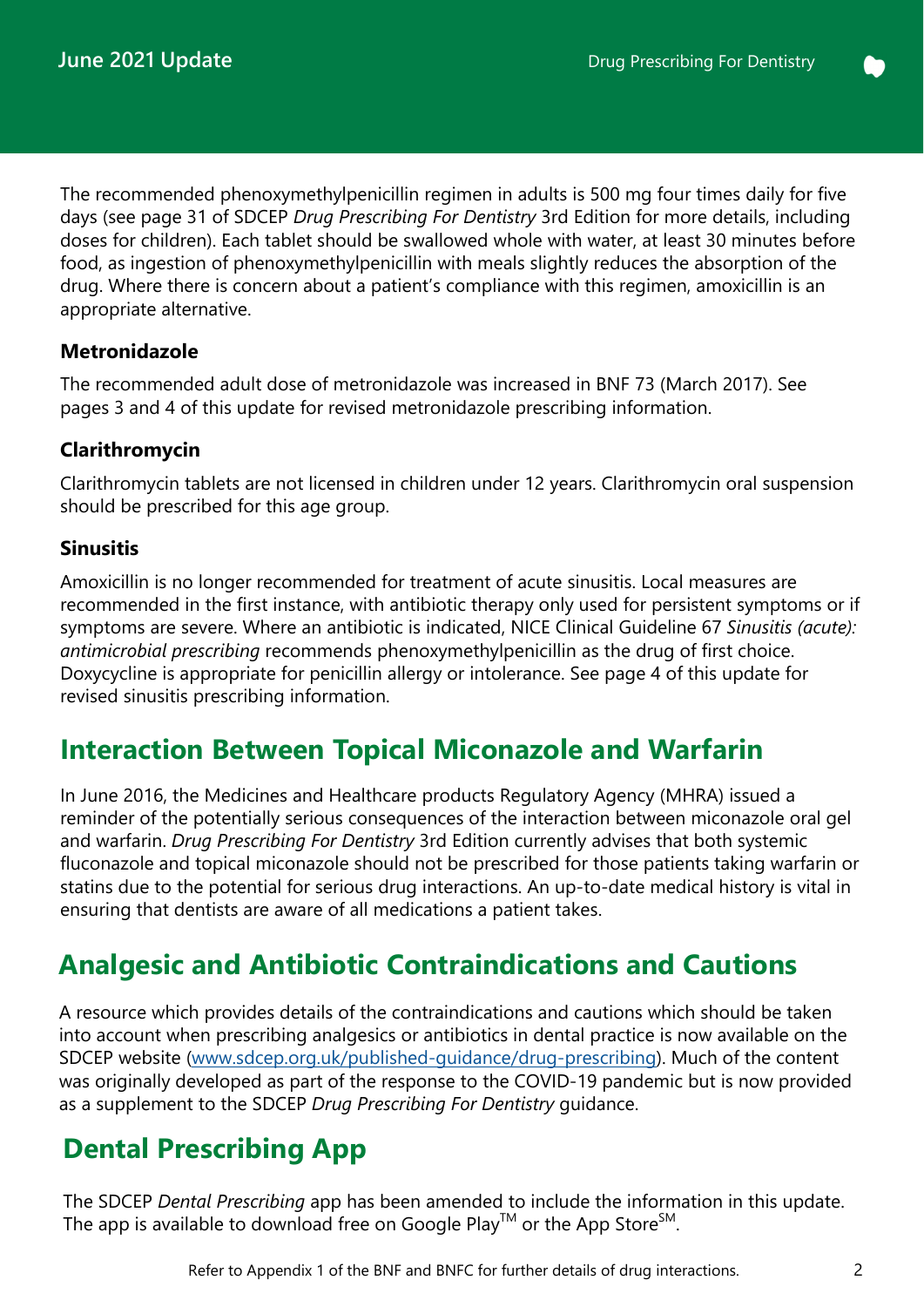The recommended phenoxymethylpenicillin regimen in adults is 500 mg four times daily for five days (see page 31 of SDCEP *Drug Prescribing For Dentistry* 3rd Edition for more details, including doses for children). Each tablet should be swallowed whole with water, at least 30 minutes before food, as ingestion of phenoxymethylpenicillin with meals slightly reduces the absorption of the drug. Where there is concern about a patient's compliance with this regimen, amoxicillin is an appropriate alternative.

### **Metronidazole**

The recommended adult dose of metronidazole was increased in BNF 73 (March 2017). See pages 3 and 4 of this update for revised metronidazole prescribing information.

### **Clarithromycin**

Clarithromycin tablets are not licensed in children under 12 years. Clarithromycin oral suspension should be prescribed for this age group.

### **Sinusitis**

Amoxicillin is no longer recommended for treatment of acute sinusitis. Local measures are recommended in the first instance, with antibiotic therapy only used for persistent symptoms or if symptoms are severe. Where an antibiotic is indicated, NICE Clinical Guideline 67 *Sinusitis (acute): antimicrobial prescribing* recommends phenoxymethylpenicillin as the drug of first choice. Doxycycline is appropriate for penicillin allergy or intolerance. See page 4 of this update for revised sinusitis prescribing information.

### **Interaction Between Topical Miconazole and Warfarin**

In June 2016, the Medicines and Healthcare products Regulatory Agency (MHRA) issued a reminder of the potentially serious consequences of the interaction between miconazole oral gel and warfarin. *Drug Prescribing For Dentistry* 3rd Edition currently advises that both systemic fluconazole and topical miconazole should not be prescribed for those patients taking warfarin or statins due to the potential for serious drug interactions. An up-to-date medical history is vital in ensuring that dentists are aware of all medications a patient takes.

## **Analgesic and Antibiotic Contraindications and Cautions**

A resource which provides details of the contraindications and cautions which should be taken into account when prescribing analgesics or antibiotics in dental practice is now available on the SDCEP website (www.sdcep.org.uk/published-guidance/drug-prescribing). Much of the content was originally developed as part of the response to the COVID-19 pandemic but is now provided as a supplement to the SDCEP *Drug Prescribing For Dentistry* guidance.

## **Dental Prescribing App**

The SDCEP *Dental Prescribing* app has been amended to include the information in this update. The app is available to download free on Google Play<sup>TM</sup> or the App Store<sup>SM</sup>.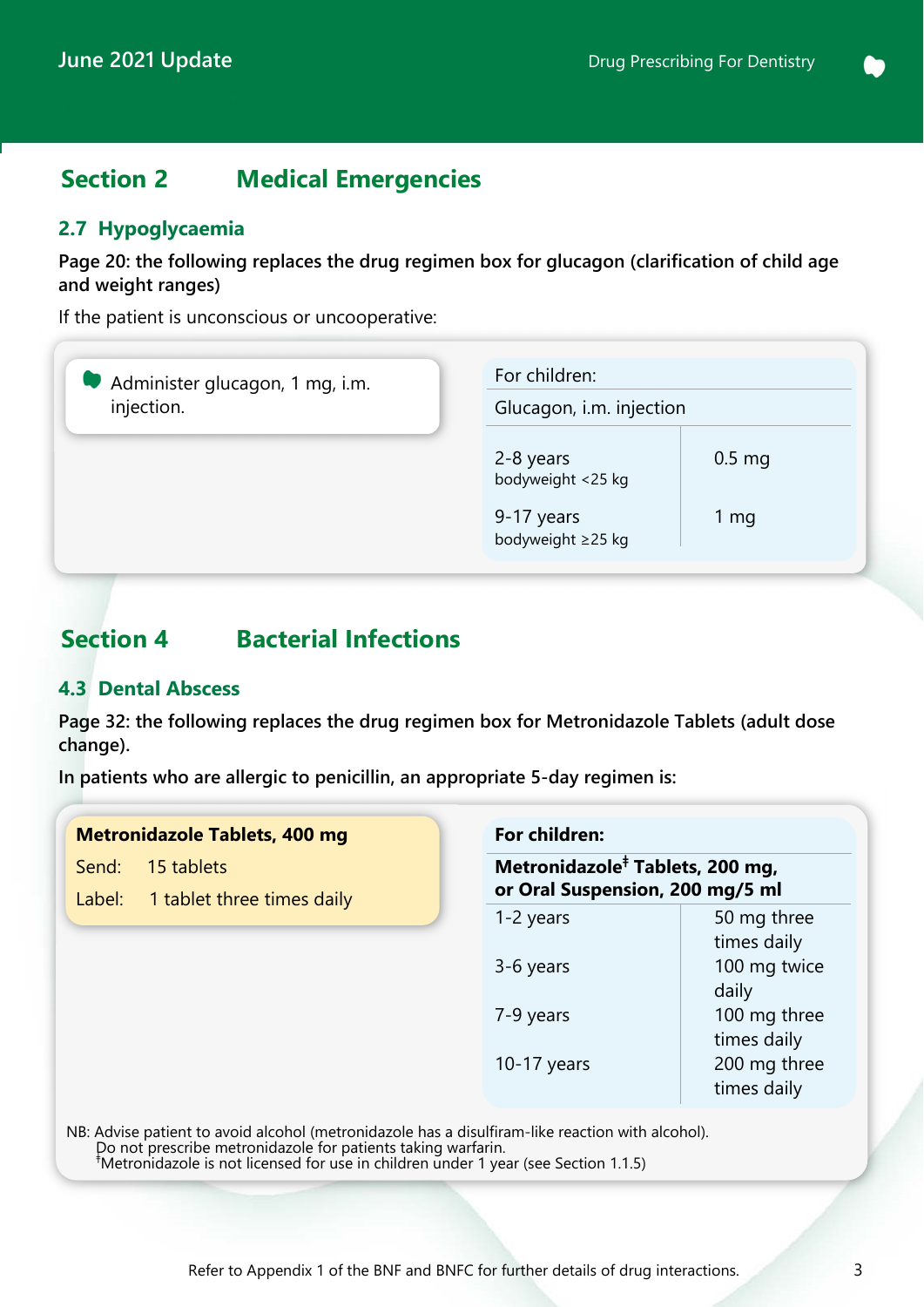### **Section 2 Medical Emergencies**

### **2.7 Hypoglycaemia**

**Page 20: the following replaces the drug regimen box for glucagon (clarification of child age and weight ranges)** 

If the patient is unconscious or uncooperative:

| Administer glucagon, 1 mg, i.m.<br>injection. | For children:                   | Glucagon, i.m. injection |  |
|-----------------------------------------------|---------------------------------|--------------------------|--|
|                                               | 2-8 years<br>bodyweight <25 kg  | $0.5 \text{ mg}$         |  |
|                                               | 9-17 years<br>bodyweight ≥25 kg | 1 mg                     |  |

### **Section 4 Bacterial Infections**

#### **4.3 Dental Abscess**

**Page 32: the following replaces the drug regimen box for Metronidazole Tablets (adult dose change).** 

**In patients who are allergic to penicillin, an appropriate 5-day regimen is:** 

|  | <b>Metronidazole Tablets, 400 mg</b> |
|--|--------------------------------------|
|--|--------------------------------------|

Send: 15 tablets

Label: 1 tablet three times daily

| For children:                                                                  |              |  |  |  |
|--------------------------------------------------------------------------------|--------------|--|--|--|
| Metronidazole <sup>‡</sup> Tablets, 200 mg,<br>or Oral Suspension, 200 mg/5 ml |              |  |  |  |
| 1-2 years                                                                      | 50 mg three  |  |  |  |
|                                                                                | times daily  |  |  |  |
| 3-6 years                                                                      | 100 mg twice |  |  |  |
|                                                                                | daily        |  |  |  |
| 7-9 years                                                                      | 100 mg three |  |  |  |
|                                                                                | times daily  |  |  |  |
| $10-17$ years                                                                  | 200 mg three |  |  |  |
|                                                                                | times daily  |  |  |  |

NB: Advise patient to avoid alcohol (metronidazole has a disulfiram-like reaction with alcohol). Do not prescribe metronidazole for patients taking warfarin. <sup>ǂ</sup> Metronidazole is not licensed for use in children under 1 year (see Section 1.1.5)